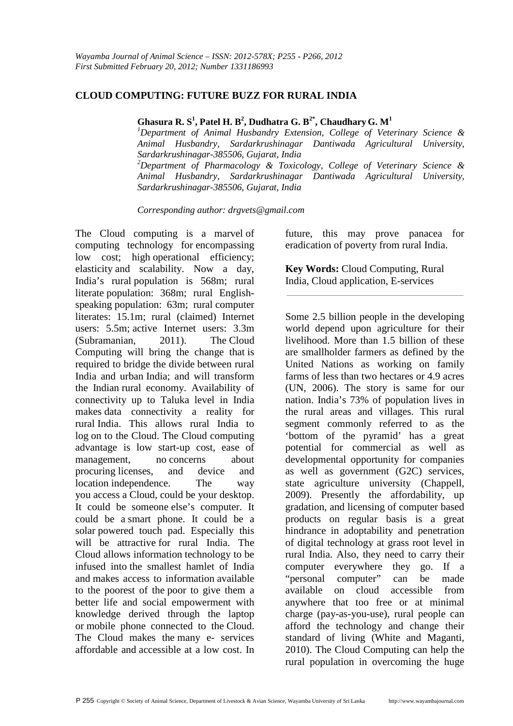# **CLOUD COMPUTING: FUTURE BUZZ FOR RURAL INDIA**

**Ghasura R. S<sup>1</sup> , Patel H. B<sup>2</sup> , Dudhatra G. B2\*, Chaudhary G. M<sup>1</sup>**

*<sup>1</sup>Department of Animal Husbandry Extension, College of Veterinary Science & Animal Husbandry, Sardarkrushinagar Dantiwada Agricultural University, Sardarkrushinagar-385506, Gujarat, India <sup>2</sup>Department of Pharmacology & Toxicology, College of Veterinary Science & Animal Husbandry, Sardarkrushinagar Dantiwada Agricultural University, Sardarkrushinagar-385506, Gujarat, India* 

*Corresponding author: drgvets@gmail.com* 

The Cloud computing is a marvel of computing technology for encompassing low cost; high operational efficiency; elasticity and scalability. Now a day, India's rural population is 568m; rural literate population: 368m; rural Englishspeaking population: 63m; rural computer literates: 15.1m; rural (claimed) Internet users: 5.5m; active Internet users: 3.3m (Subramanian, 2011). The Cloud Computing will bring the change that is required to bridge the divide between rural India and urban India; and will transform the Indian rural economy. Availability of connectivity up to Taluka level in India makes data connectivity a reality for rural India. This allows rural India to log on to the Cloud. The Cloud computing advantage is low start-up cost, ease of management, no concerns about procuring licenses, and device and location independence. The way you access a Cloud, could be your desktop. It could be someone else's computer. It could be a smart phone. It could be a solar powered touch pad. Especially this will be attractive for rural India. The Cloud allows information technology to be infused into the smallest hamlet of India and makes access to information available to the poorest of the poor to give them a better life and social empowerment with knowledge derived through the laptop or mobile phone connected to the Cloud. The Cloud makes the many e- services affordable and accessible at a low cost. In

future, this may prove panacea for eradication of poverty from rural India.

**Key Words:** Cloud Computing, Rural India, Cloud application, E-services

Some 2.5 billion people in the developing world depend upon agriculture for their livelihood. More than 1.5 billion of these are smallholder farmers as defined by the United Nations as working on family farms of less than two hectares or 4.9 acres (UN, 2006). The story is same for our nation. India's 73% of population lives in the rural areas and villages. This rural segment commonly referred to as the 'bottom of the pyramid' has a great potential for commercial as well as developmental opportunity for companies as well as government (G2C) services, state agriculture university (Chappell, 2009). Presently the affordability, up gradation, and licensing of computer based products on regular basis is a great hindrance in adoptability and penetration of digital technology at grass root level in rural India. Also, they need to carry their computer everywhere they go. If a "personal computer" can be made available on cloud accessible from anywhere that too free or at minimal charge (pay-as-you-use), rural people can afford the technology and change their standard of living (White and Maganti, 2010). The Cloud Computing can help the rural population in overcoming the huge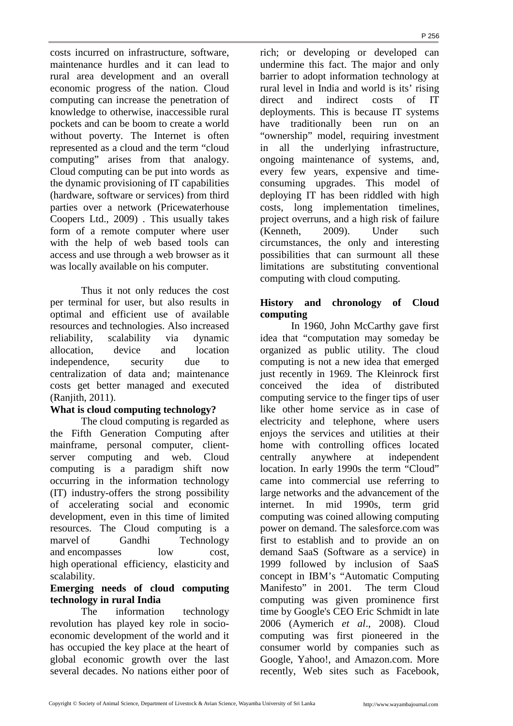costs incurred on infrastructure, software, maintenance hurdles and it can lead to rural area development and an overall economic progress of the nation. Cloud computing can increase the penetration of knowledge to otherwise, inaccessible rural pockets and can be boom to create a world without poverty. The Internet is often represented as a cloud and the term "cloud computing" arises from that analogy. Cloud computing can be put into words as the dynamic provisioning of IT capabilities (hardware, software or services) from third parties over a network (Pricewaterhouse Coopers Ltd., 2009) . This usually takes form of a remote computer where user with the help of web based tools can access and use through a web browser as it was locally available on his computer.

Thus it not only reduces the cost per terminal for user, but also results in optimal and efficient use of available resources and technologies. Also increased reliability, scalability via dynamic allocation, device and location independence, security due to centralization of data and; maintenance costs get better managed and executed (Ranjith, 2011).

# **What is cloud computing technology?**

The cloud computing is regarded as the Fifth Generation Computing after mainframe, personal computer, clientserver computing and web. Cloud computing is a paradigm shift now occurring in the information technology (IT) industry-offers the strong possibility of accelerating social and economic development, even in this time of limited resources. The Cloud computing is a marvel of Gandhi Technology and encompasses low cost. high operational efficiency, elasticity and scalability.

#### **Emerging needs of cloud computing technology in rural India**

The information technology revolution has played key role in socioeconomic development of the world and it has occupied the key place at the heart of global economic growth over the last several decades. No nations either poor of

rich; or developing or developed can undermine this fact. The major and only barrier to adopt information technology at rural level in India and world is its' rising direct and indirect costs of IT deployments. This is because IT systems have traditionally been run on an "ownership" model, requiring investment in all the underlying infrastructure, ongoing maintenance of systems, and, every few years, expensive and timeconsuming upgrades. This model of deploying IT has been riddled with high costs, long implementation timelines, project overruns, and a high risk of failure (Kenneth, 2009). Under such circumstances, the only and interesting possibilities that can surmount all these limitations are substituting conventional computing with cloud computing.

# **History and chronology of Cloud computing**

In 1960, John McCarthy gave first idea that "computation may someday be organized as public utility. The cloud computing is not a new idea that emerged just recently in 1969. The Kleinrock first conceived the idea of distributed computing service to the finger tips of user like other home service as in case of electricity and telephone, where users enjoys the services and utilities at their home with controlling offices located centrally anywhere at independent location. In early 1990s the term "Cloud" came into commercial use referring to large networks and the advancement of the internet. In mid 1990s, term grid computing was coined allowing computing power on demand. The salesforce.com was first to establish and to provide an on demand SaaS (Software as a service) in 1999 followed by inclusion of SaaS concept in IBM's "Automatic Computing Manifesto" in 2001. The term Cloud computing was given prominence first time by Google's CEO Eric Schmidt in late 2006 (Aymerich *et al*., 2008). Cloud computing was first pioneered in the consumer world by companies such as Google, Yahoo!, and Amazon.com. More recently, Web sites such as Facebook,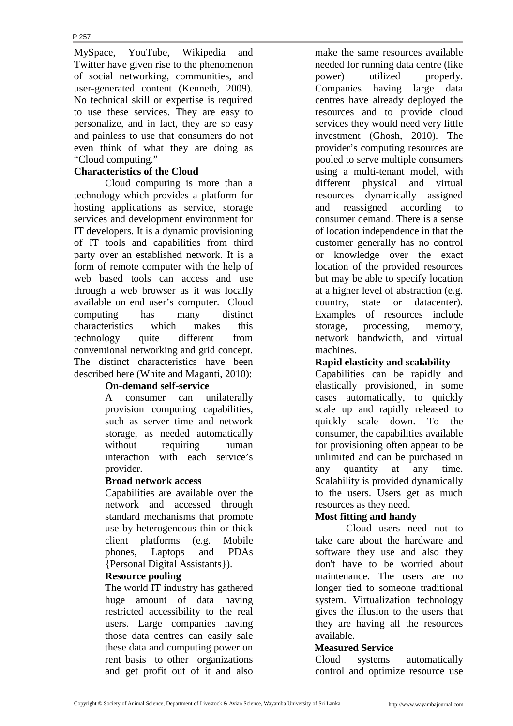MySpace, YouTube, Wikipedia and Twitter have given rise to the phenomenon of social networking, communities, and user-generated content (Kenneth, 2009). No technical skill or expertise is required to use these services. They are easy to personalize, and in fact, they are so easy and painless to use that consumers do not even think of what they are doing as "Cloud computing."

# **Characteristics of the Cloud**

Cloud computing is more than a technology which provides a platform for hosting applications as service, storage services and development environment for IT developers. It is a dynamic provisioning of IT tools and capabilities from third party over an established network. It is a form of remote computer with the help of web based tools can access and use through a web browser as it was locally available on end user's computer. Cloud computing has many distinct characteristics which makes this technology quite different from conventional networking and grid concept. The distinct characteristics have been described here (White and Maganti, 2010):

#### **On-demand self-service**

A consumer can unilaterally provision computing capabilities, such as server time and network storage, as needed automatically without requiring human interaction with each service's provider.

#### **Broad network access**

Capabilities are available over the network and accessed through standard mechanisms that promote use by heterogeneous thin or thick client platforms (e.g. Mobile phones, Laptops and PDAs {Personal Digital Assistants}).

#### **Resource pooling**

The world IT industry has gathered huge amount of data having restricted accessibility to the real users. Large companies having those data centres can easily sale these data and computing power on rent basis to other organizations and get profit out of it and also

make the same resources available needed for running data centre (like power) utilized properly. Companies having large data centres have already deployed the resources and to provide cloud services they would need very little investment (Ghosh, 2010). The provider's computing resources are pooled to serve multiple consumers using a multi-tenant model, with different physical and virtual resources dynamically assigned and reassigned according to consumer demand. There is a sense of location independence in that the customer generally has no control or knowledge over the exact location of the provided resources but may be able to specify location at a higher level of abstraction (e.g. country, state or datacenter). Examples of resources include storage, processing, memory, network bandwidth, and virtual machines.

#### **Rapid elasticity and scalability**

Capabilities can be rapidly and elastically provisioned, in some cases automatically, to quickly scale up and rapidly released to quickly scale down. To the consumer, the capabilities available for provisioning often appear to be unlimited and can be purchased in any quantity at any time. Scalability is provided dynamically to the users. Users get as much resources as they need.

#### **Most fitting and handy**

Cloud users need not to take care about the hardware and software they use and also they don't have to be worried about maintenance. The users are no longer tied to someone traditional system. Virtualization technology gives the illusion to the users that they are having all the resources available.

#### **Measured Service**

Cloud systems automatically control and optimize resource use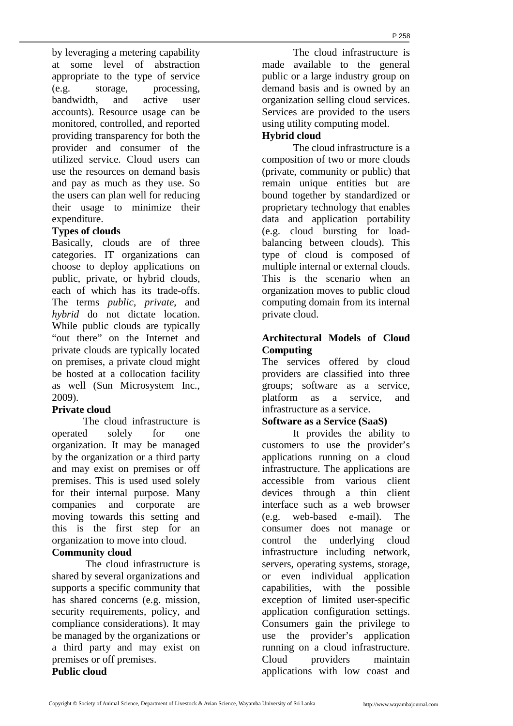by leveraging a metering capability at some level of abstraction appropriate to the type of service (e.g. storage, processing, bandwidth, and active user accounts). Resource usage can be monitored, controlled, and reported providing transparency for both the provider and consumer of the utilized service. Cloud users can use the resources on demand basis and pay as much as they use. So the users can plan well for reducing their usage to minimize their expenditure.

#### **Types of clouds**

Basically, clouds are of three categories. IT organizations can choose to deploy applications on public, private, or hybrid clouds, each of which has its trade-offs. The terms *public*, *private*, and *hybrid* do not dictate location. While public clouds are typically "out there" on the Internet and private clouds are typically located on premises, a private cloud might be hosted at a collocation facility as well (Sun Microsystem Inc., 2009).

#### **Private cloud**

The cloud infrastructure is operated solely for one organization. It may be managed by the organization or a third party and may exist on premises or off premises. This is used used solely for their internal purpose. Many companies and corporate are moving towards this setting and this is the first step for an organization to move into cloud.

#### **Community cloud**

The cloud infrastructure is shared by several organizations and supports a specific community that has shared concerns (e.g. mission, security requirements, policy, and compliance considerations). It may be managed by the organizations or a third party and may exist on premises or off premises.

**Public cloud**

The cloud infrastructure is made available to the general public or a large industry group on demand basis and is owned by an organization selling cloud services. Services are provided to the users using utility computing model.

# **Hybrid cloud**

The cloud infrastructure is a composition of two or more clouds (private, community or public) that remain unique entities but are bound together by standardized or proprietary technology that enables data and application portability (e.g. cloud bursting for loadbalancing between clouds). This type of cloud is composed of multiple internal or external clouds. This is the scenario when an organization moves to public cloud computing domain from its internal private cloud.

# **Architectural Models of Cloud Computing**

The services offered by cloud providers are classified into three groups; software as a service, platform as a service, and infrastructure as a service.

#### **Software as a Service (SaaS)**

It provides the ability to customers to use the provider's applications running on a cloud infrastructure. The applications are accessible from various client devices through a thin client interface such as a web browser (e.g. web-based e-mail). The consumer does not manage or control the underlying cloud infrastructure including network, servers, operating systems, storage, or even individual application capabilities, with the possible exception of limited user-specific application configuration settings. Consumers gain the privilege to use the provider's application running on a cloud infrastructure. Cloud providers maintain applications with low coast and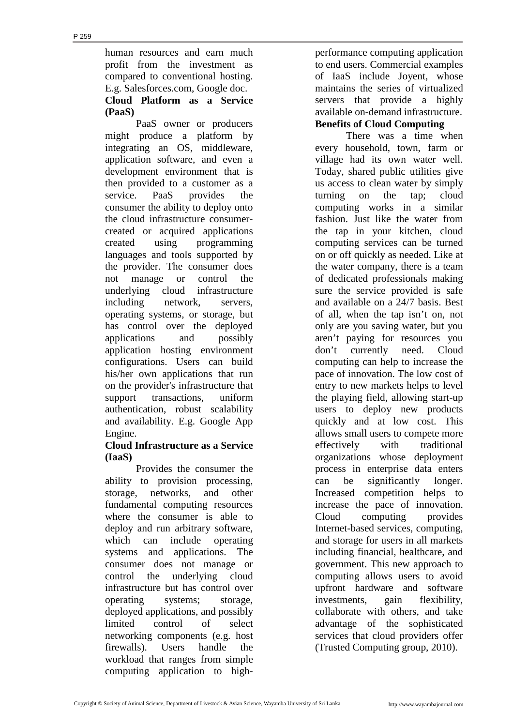human resources and earn much profit from the investment as compared to conventional hosting. E.g. Salesforces.com, Google doc. **Cloud Platform as a Service (PaaS)**

PaaS owner or producers might produce a platform by integrating an OS, middleware, application software, and even a development environment that is then provided to a customer as a service. PaaS provides the consumer the ability to deploy onto the cloud infrastructure consumercreated or acquired applications created using programming languages and tools supported by the provider. The consumer does not manage or control the underlying cloud infrastructure including network, servers, operating systems, or storage, but has control over the deployed applications and possibly application hosting environment configurations. Users can build his/her own applications that run on the provider's infrastructure that support transactions, uniform authentication, robust scalability and availability. E.g. Google App Engine.

# **Cloud Infrastructure as a Service (IaaS)**

Provides the consumer the ability to provision processing, storage, networks, and other fundamental computing resources where the consumer is able to deploy and run arbitrary software, which can include operating systems and applications. The consumer does not manage or control the underlying cloud infrastructure but has control over operating systems; storage, deployed applications, and possibly limited control of select networking components (e.g. host firewalls). Users handle the workload that ranges from simple computing application to highperformance computing application to end users. Commercial examples of IaaS include Joyent, whose maintains the series of virtualized servers that provide a highly available on-demand infrastructure. **Benefits of Cloud Computing** 

 There was a time when every household, town, farm or village had its own water well. Today, shared public utilities give us access to clean water by simply turning on the tap; cloud computing works in a similar fashion. Just like the water from the tap in your kitchen, cloud computing services can be turned on or off quickly as needed. Like at the water company, there is a team of dedicated professionals making sure the service provided is safe and available on a 24/7 basis. Best of all, when the tap isn't on, not only are you saving water, but you aren't paying for resources you don't currently need. Cloud computing can help to increase the pace of innovation. The low cost of entry to new markets helps to level the playing field, allowing start-up users to deploy new products quickly and at low cost. This allows small users to compete more effectively with traditional organizations whose deployment process in enterprise data enters can be significantly longer. Increased competition helps to increase the pace of innovation. Cloud computing provides Internet-based services, computing, and storage for users in all markets including financial, healthcare, and government. This new approach to computing allows users to avoid upfront hardware and software investments, gain flexibility, collaborate with others, and take advantage of the sophisticated services that cloud providers offer (Trusted Computing group, 2010).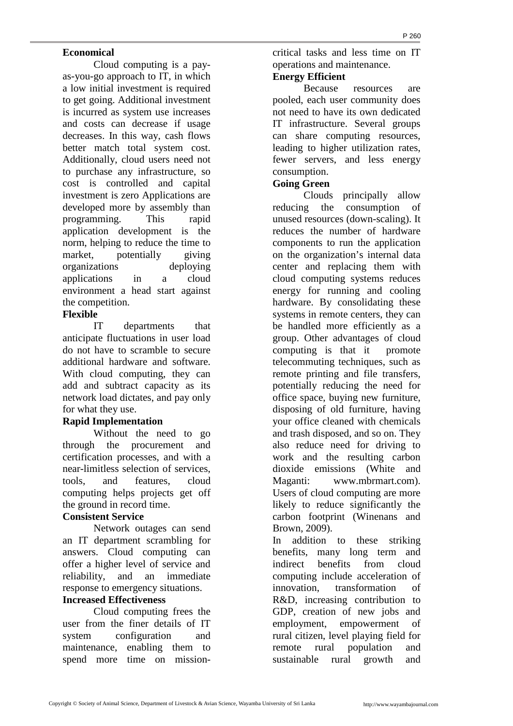# **Economical**

Cloud computing is a payas-you-go approach to IT, in which a low initial investment is required to get going. Additional investment is incurred as system use increases and costs can decrease if usage decreases. In this way, cash flows better match total system cost. Additionally, cloud users need not to purchase any infrastructure, so cost is controlled and capital investment is zero Applications are developed more by assembly than programming. This rapid application development is the norm, helping to reduce the time to market, potentially giving organizations deploying applications in a cloud environment a head start against the competition.

# **Flexible**

IT departments that anticipate fluctuations in user load do not have to scramble to secure additional hardware and software. With cloud computing, they can add and subtract capacity as its network load dictates, and pay only for what they use.

# **Rapid Implementation**

Without the need to go through the procurement and certification processes, and with a near-limitless selection of services, tools, and features, cloud computing helps projects get off the ground in record time.

# **Consistent Service**

Network outages can send an IT department scrambling for answers. Cloud computing can offer a higher level of service and reliability, and an immediate response to emergency situations.

# **Increased Effectiveness**

Cloud computing frees the user from the finer details of IT system configuration and maintenance, enabling them to spend more time on missioncritical tasks and less time on IT operations and maintenance.

# **Energy Efficient**

Because resources are pooled, each user community does not need to have its own dedicated IT infrastructure. Several groups can share computing resources, leading to higher utilization rates, fewer servers, and less energy consumption.

### **Going Green**

Clouds principally allow reducing the consumption of unused resources (down-scaling). It reduces the number of hardware components to run the application on the organization's internal data center and replacing them with cloud computing systems reduces energy for running and cooling hardware. By consolidating these systems in remote centers, they can be handled more efficiently as a group. Other advantages of cloud computing is that it promote telecommuting techniques, such as remote printing and file transfers, potentially reducing the need for office space, buying new furniture, disposing of old furniture, having your office cleaned with chemicals and trash disposed, and so on. They also reduce need for driving to work and the resulting carbon dioxide emissions (White and Maganti: www.mbrmart.com). Users of cloud computing are more likely to reduce significantly the carbon footprint (Winenans and Brown, 2009).

In addition to these striking benefits, many long term and indirect benefits from cloud computing include acceleration of innovation, transformation of R&D, increasing contribution to GDP, creation of new jobs and employment, empowerment of rural citizen, level playing field for remote rural population and sustainable rural growth and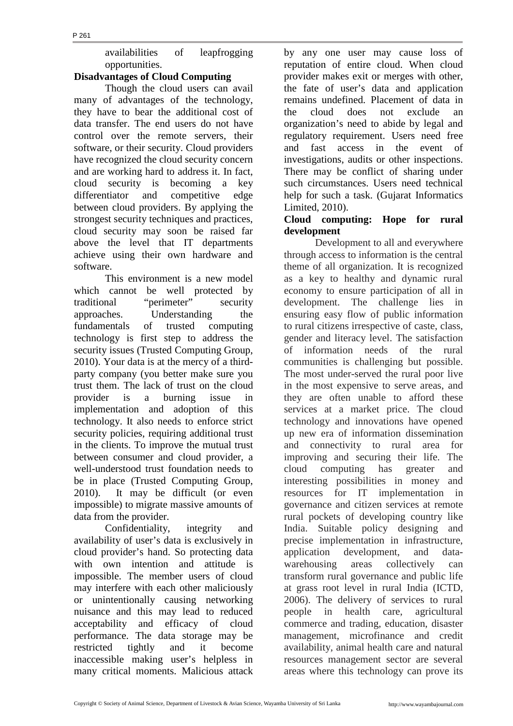availabilities of leapfrogging opportunities.

# **Disadvantages of Cloud Computing**

 Though the cloud users can avail many of advantages of the technology, they have to bear the additional cost of data transfer. The end users do not have control over the remote servers, their software, or their security. Cloud providers have recognized the cloud security concern and are working hard to address it. In fact, cloud security is becoming a key differentiator and competitive edge between cloud providers. By applying the strongest security techniques and practices, cloud security may soon be raised far above the level that IT departments achieve using their own hardware and software.

 This environment is a new model which cannot be well protected by traditional "perimeter" security approaches. Understanding the fundamentals of trusted computing technology is first step to address the security issues (Trusted Computing Group, 2010). Your data is at the mercy of a thirdparty company (you better make sure you trust them. The lack of trust on the cloud provider is a burning issue in implementation and adoption of this technology. It also needs to enforce strict security policies, requiring additional trust in the clients. To improve the mutual trust between consumer and cloud provider, a well-understood trust foundation needs to be in place (Trusted Computing Group, 2010). It may be difficult (or even impossible) to migrate massive amounts of data from the provider.

Confidentiality, integrity and availability of user's data is exclusively in cloud provider's hand. So protecting data with own intention and attitude is impossible. The member users of cloud may interfere with each other maliciously or unintentionally causing networking nuisance and this may lead to reduced acceptability and efficacy of cloud performance. The data storage may be restricted tightly and it become inaccessible making user's helpless in many critical moments. Malicious attack by any one user may cause loss of reputation of entire cloud. When cloud provider makes exit or merges with other, the fate of user's data and application remains undefined. Placement of data in the cloud does not exclude an organization's need to abide by legal and regulatory requirement. Users need free and fast access in the event of investigations, audits or other inspections. There may be conflict of sharing under such circumstances. Users need technical help for such a task. (Gujarat Informatics Limited, 2010).

# **Cloud computing: Hope for rural development**

Development to all and everywhere through access to information is the central theme of all organization. It is recognized as a key to healthy and dynamic rural economy to ensure participation of all in development. The challenge lies in ensuring easy flow of public information to rural citizens irrespective of caste, class, gender and literacy level. The satisfaction of information needs of the rural communities is challenging but possible. The most under-served the rural poor live in the most expensive to serve areas, and they are often unable to afford these services at a market price. The cloud technology and innovations have opened up new era of information dissemination and connectivity to rural area for improving and securing their life. The cloud computing has greater and interesting possibilities in money and resources for IT implementation in governance and citizen services at remote rural pockets of developing country like India. Suitable policy designing and precise implementation in infrastructure, application development, and datawarehousing areas collectively can transform rural governance and public life at grass root level in rural India (ICTD, 2006). The delivery of services to rural people in health care, agricultural commerce and trading, education, disaster management, microfinance and credit availability, animal health care and natural resources management sector are several areas where this technology can prove its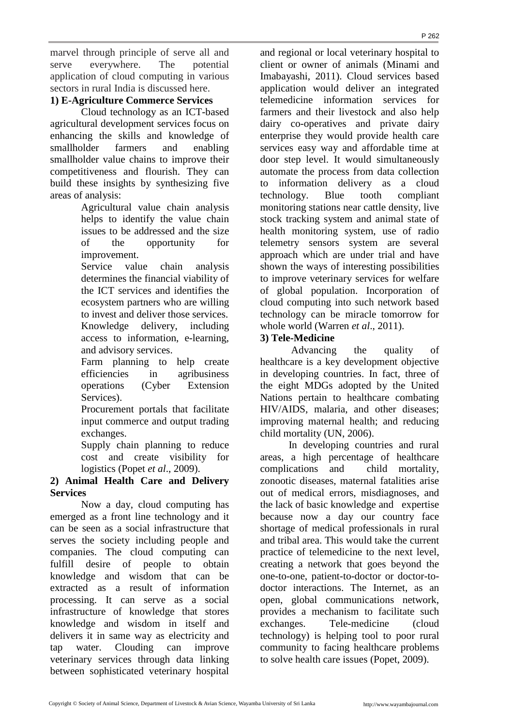marvel through principle of serve all and serve everywhere. The potential application of cloud computing in various sectors in rural India is discussed here.

# **1) E-Agriculture Commerce Services**

Cloud technology as an ICT-based agricultural development services focus on enhancing the skills and knowledge of smallholder farmers and enabling smallholder value chains to improve their competitiveness and flourish. They can build these insights by synthesizing five areas of analysis:

Agricultural value chain analysis helps to identify the value chain issues to be addressed and the size of the opportunity for improvement.

Service value chain analysis determines the financial viability of the ICT services and identifies the ecosystem partners who are willing to invest and deliver those services. Knowledge delivery, including access to information, e-learning, and advisory services.

Farm planning to help create efficiencies in agribusiness operations (Cyber Extension Services).

Procurement portals that facilitate input commerce and output trading exchanges.

Supply chain planning to reduce cost and create visibility for logistics (Popet *et al*., 2009).

# **2) Animal Health Care and Delivery Services**

Now a day, cloud computing has emerged as a front line technology and it can be seen as a social infrastructure that serves the society including people and companies. The cloud computing can fulfill desire of people to obtain knowledge and wisdom that can be extracted as a result of information processing. It can serve as a social infrastructure of knowledge that stores knowledge and wisdom in itself and delivers it in same way as electricity and tap water. Clouding can improve veterinary services through data linking between sophisticated veterinary hospital

and regional or local veterinary hospital to client or owner of animals (Minami and Imabayashi, 2011). Cloud services based application would deliver an integrated telemedicine information services for farmers and their livestock and also help dairy co-operatives and private dairy enterprise they would provide health care services easy way and affordable time at door step level. It would simultaneously automate the process from data collection to information delivery as a cloud technology. Blue tooth compliant monitoring stations near cattle density, live stock tracking system and animal state of health monitoring system, use of radio telemetry sensors system are several approach which are under trial and have shown the ways of interesting possibilities to improve veterinary services for welfare of global population. Incorporation of cloud computing into such network based technology can be miracle tomorrow for whole world (Warren *et al*., 2011).

P 262

# **3) Tele-Medicine**

Advancing the quality of healthcare is a key development objective in developing countries. In fact, three of the eight MDGs adopted by the United Nations pertain to healthcare combating HIV/AIDS, malaria, and other diseases; improving maternal health; and reducing child mortality (UN, 2006).

In developing countries and rural areas, a high percentage of healthcare complications and child mortality, zonootic diseases, maternal fatalities arise out of medical errors, misdiagnoses, and the lack of basic knowledge and expertise because now a day our country face shortage of medical professionals in rural and tribal area. This would take the current practice of telemedicine to the next level, creating a network that goes beyond the one-to-one, patient-to-doctor or doctor-todoctor interactions. The Internet, as an open, global communications network, provides a mechanism to facilitate such exchanges. Tele-medicine (cloud technology) is helping tool to poor rural community to facing healthcare problems to solve health care issues (Popet, 2009).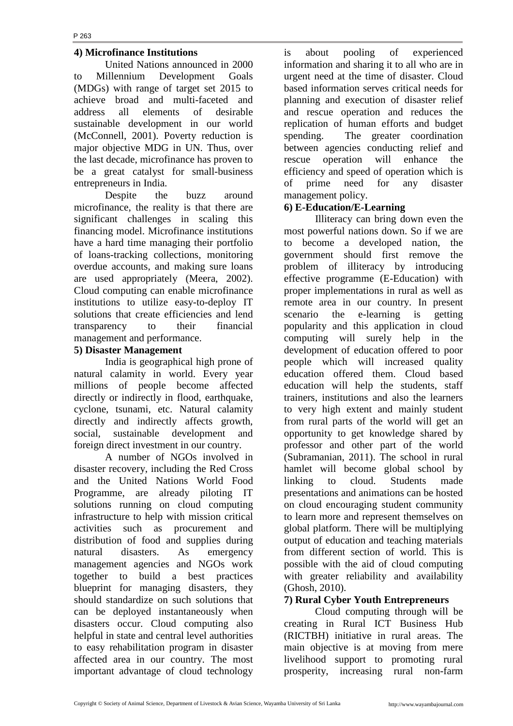#### **4) Microfinance Institutions**

United Nations announced in 2000 to Millennium Development Goals (MDGs) with range of target set 2015 to achieve broad and multi-faceted and address all elements of desirable sustainable development in our world (McConnell, 2001). Poverty reduction is major objective MDG in UN. Thus, over the last decade, microfinance has proven to be a great catalyst for small-business entrepreneurs in India.

Despite the buzz around microfinance, the reality is that there are significant challenges in scaling this financing model. Microfinance institutions have a hard time managing their portfolio of loans-tracking collections, monitoring overdue accounts, and making sure loans are used appropriately (Meera, 2002). Cloud computing can enable microfinance institutions to utilize easy-to-deploy IT solutions that create efficiencies and lend transparency to their financial management and performance.

### **5) Disaster Management**

India is geographical high prone of natural calamity in world. Every year millions of people become affected directly or indirectly in flood, earthquake, cyclone, tsunami, etc. Natural calamity directly and indirectly affects growth, social, sustainable development and foreign direct investment in our country.

A number of NGOs involved in disaster recovery, including the Red Cross and the United Nations World Food Programme, are already piloting IT solutions running on cloud computing infrastructure to help with mission critical activities such as procurement and distribution of food and supplies during natural disasters. As emergency management agencies and NGOs work together to build a best practices blueprint for managing disasters, they should standardize on such solutions that can be deployed instantaneously when disasters occur. Cloud computing also helpful in state and central level authorities to easy rehabilitation program in disaster affected area in our country. The most important advantage of cloud technology

is about pooling of experienced information and sharing it to all who are in urgent need at the time of disaster. Cloud based information serves critical needs for planning and execution of disaster relief and rescue operation and reduces the replication of human efforts and budget spending. The greater coordination between agencies conducting relief and rescue operation will enhance the efficiency and speed of operation which is of prime need for any disaster management policy.

# **6) E-Education/E-Learning**

Illiteracy can bring down even the most powerful nations down. So if we are to become a developed nation, the government should first remove the problem of illiteracy by introducing effective programme (E-Education) with proper implementations in rural as well as remote area in our country. In present scenario the e-learning is getting popularity and this application in cloud computing will surely help in the development of education offered to poor people which will increased quality education offered them. Cloud based education will help the students, staff trainers, institutions and also the learners to very high extent and mainly student from rural parts of the world will get an opportunity to get knowledge shared by professor and other part of the world (Subramanian, 2011). The school in rural hamlet will become global school by linking to cloud. Students made presentations and animations can be hosted on cloud encouraging student community to learn more and represent themselves on global platform. There will be multiplying output of education and teaching materials from different section of world. This is possible with the aid of cloud computing with greater reliability and availability (Ghosh, 2010).

# **7) Rural Cyber Youth Entrepreneurs**

Cloud computing through will be creating in Rural ICT Business Hub (RICTBH) initiative in rural areas. The main objective is at moving from mere livelihood support to promoting rural prosperity, increasing rural non-farm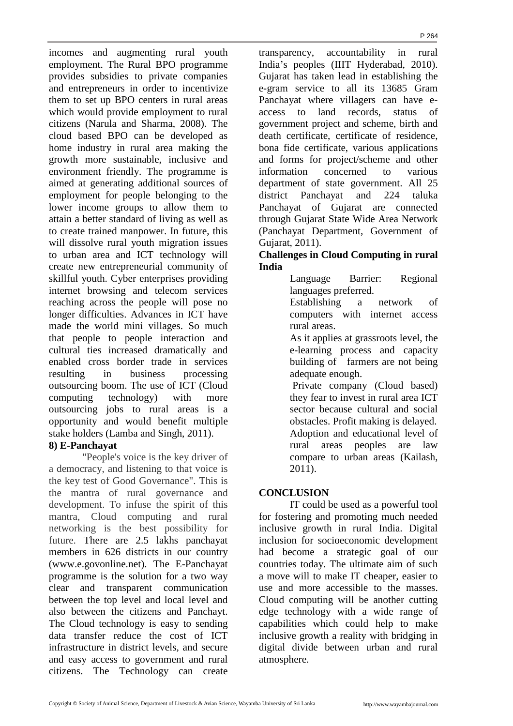incomes and augmenting rural youth employment. The Rural BPO programme provides subsidies to private companies and entrepreneurs in order to incentivize them to set up BPO centers in rural areas which would provide employment to rural citizens (Narula and Sharma, 2008). The cloud based BPO can be developed as home industry in rural area making the growth more sustainable, inclusive and environment friendly. The programme is aimed at generating additional sources of employment for people belonging to the lower income groups to allow them to attain a better standard of living as well as to create trained manpower. In future, this will dissolve rural youth migration issues to urban area and ICT technology will create new entrepreneurial community of skillful youth. Cyber enterprises providing internet browsing and telecom services reaching across the people will pose no longer difficulties. Advances in ICT have made the world mini villages. So much that people to people interaction and cultural ties increased dramatically and enabled cross border trade in services resulting in business processing outsourcing boom. The use of ICT (Cloud computing technology) with more outsourcing jobs to rural areas is a opportunity and would benefit multiple stake holders (Lamba and Singh, 2011).

#### **8) E-Panchayat**

"People's voice is the key driver of a democracy, and listening to that voice is the key test of Good Governance". This is the mantra of rural governance and development. To infuse the spirit of this mantra, Cloud computing and rural networking is the best possibility for future. There are 2.5 lakhs panchayat members in 626 districts in our country (www.e.govonline.net). The E-Panchayat programme is the solution for a two way clear and transparent communication between the top level and local level and also between the citizens and Panchayt. The Cloud technology is easy to sending data transfer reduce the cost of ICT infrastructure in district levels, and secure and easy access to government and rural citizens. The Technology can create

transparency, accountability in rural India's peoples (IIIT Hyderabad, 2010). Gujarat has taken lead in establishing the e-gram service to all its 13685 Gram Panchayat where villagers can have eaccess to land records, status of government project and scheme, birth and death certificate, certificate of residence, bona fide certificate, various applications and forms for project/scheme and other information concerned to various department of state government. All 25 district Panchayat and 224 taluka Panchayat of Gujarat are connected through Gujarat State Wide Area Network (Panchayat Department, Government of Gujarat, 2011).

# **Challenges in Cloud Computing in rural India**

Language Barrier: Regional languages preferred.

Establishing a network of computers with internet access rural areas.

As it applies at grassroots level, the e-learning process and capacity building of farmers are not being adequate enough.

 Private company (Cloud based) they fear to invest in rural area ICT sector because cultural and social obstacles. Profit making is delayed. Adoption and educational level of rural areas peoples are law compare to urban areas (Kailash, 2011).

# **CONCLUSION**

IT could be used as a powerful tool for fostering and promoting much needed inclusive growth in rural India. Digital inclusion for socioeconomic development had become a strategic goal of our countries today. The ultimate aim of such a move will to make IT cheaper, easier to use and more accessible to the masses. Cloud computing will be another cutting edge technology with a wide range of capabilities which could help to make inclusive growth a reality with bridging in digital divide between urban and rural atmosphere.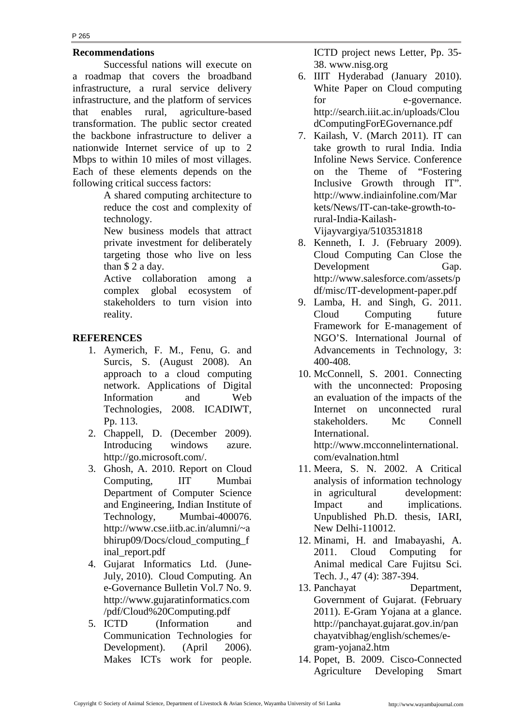#### **Recommendations**

Successful nations will execute on a roadmap that covers the broadband infrastructure, a rural service delivery infrastructure, and the platform of services that enables rural, agriculture-based transformation. The public sector created the backbone infrastructure to deliver a nationwide Internet service of up to 2 Mbps to within 10 miles of most villages. Each of these elements depends on the following critical success factors:

> A shared computing architecture to reduce the cost and complexity of technology.

> New business models that attract private investment for deliberately targeting those who live on less than \$ 2 a day.

> Active collaboration among a complex global ecosystem of stakeholders to turn vision into reality.

# **REFERENCES**

- 1. Aymerich, F. M., Fenu, G. and Surcis, S. (August 2008). An approach to a cloud computing network. Applications of Digital Information and Web Technologies, 2008. ICADIWT, Pp. 113.
- 2. Chappell, D. (December 2009). Introducing windows azure. http://go.microsoft.com/.
- 3. Ghosh, A. 2010. Report on Cloud Computing, IIT Mumbai Department of Computer Science and Engineering, Indian Institute of Technology, Mumbai-400076. http://www.cse.iitb.ac.in/alumni/~a bhirup09/Docs/cloud\_computing\_f inal\_report.pdf
- 4. Gujarat Informatics Ltd. (June-July, 2010). Cloud Computing. An e-Governance Bulletin Vol.7 No. 9. http://www.gujaratinformatics.com /pdf/Cloud%20Computing.pdf
- 5. ICTD (Information and Communication Technologies for Development). (April 2006). Makes ICTs work for people.

ICTD project news Letter, Pp. 35- 38. www.nisg.org

- 6. IIIT Hyderabad (January 2010). White Paper on Cloud computing for e-governance. http://search.iiit.ac.in/uploads/Clou dComputingForEGovernance.pdf
- 7. Kailash, V. (March 2011). IT can take growth to rural India. India Infoline News Service. Conference on the Theme of "Fostering Inclusive Growth through IT". http://www.indiainfoline.com/Mar kets/News/IT-can-take-growth-torural-India-Kailash-Vijayvargiya/5103531818
- 8. Kenneth, I. J. (February 2009). Cloud Computing Can Close the Development Gap. http://www.salesforce.com/assets/p df/misc/IT-development-paper.pdf
- 9. Lamba, H. and Singh, G. 2011. Cloud Computing future Framework for E-management of NGO'S. International Journal of Advancements in Technology, 3: 400-408.
- 10. McConnell, S. 2001. Connecting with the unconnected: Proposing an evaluation of the impacts of the Internet on unconnected rural stakeholders. Mc Connell International. http://www.mcconnelinternational.

com/evalnation.html

- 11. Meera, S. N. 2002. A Critical analysis of information technology in agricultural development: Impact and implications. Unpublished Ph.D. thesis, IARI, New Delhi-110012.
- 12. Minami, H. and Imabayashi, A. 2011. Cloud Computing for Animal medical Care Fujitsu Sci. Tech. J., 47 (4): 387-394.
- 13. Panchayat Department, Government of Gujarat. (February 2011). E-Gram Yojana at a glance. http://panchayat.gujarat.gov.in/pan chayatvibhag/english/schemes/egram-yojana2.htm
- 14. Popet, B. 2009. Cisco-Connected Agriculture Developing Smart